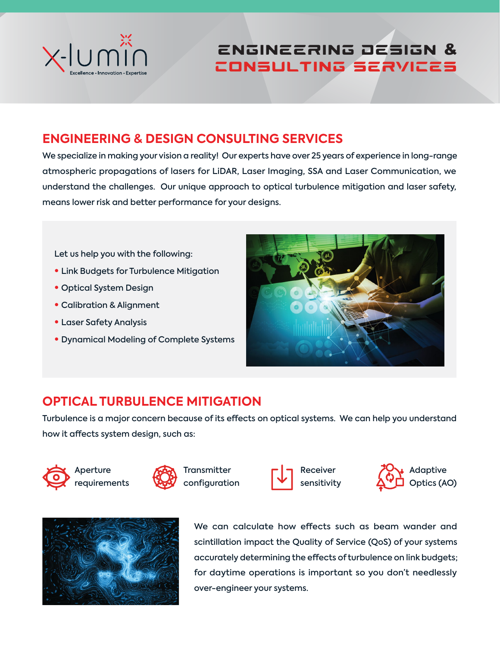

# Engineering Design & Consulting Services

# **ENGINEERING & DESIGN CONSULTING SERVICES**

We specialize in making your vision a reality! Our experts have over 25 years of experience in long-range atmospheric propagations of lasers for LiDAR, Laser Imaging, SSA and Laser Communication, we understand the challenges. Our unique approach to optical turbulence mitigation and laser safety, means lower risk and better performance for your designs.

Let us help you with the following:

- Link Budgets for Turbulence Mitigation
- Optical System Design
- Calibration & Alignment
- Laser Safety Analysis
- Dynamical Modeling of Complete Systems



# **OPTICAL TURBULENCE MITIGATION**

Turbulence is a major concern because of its effects on optical systems. We can help you understand how it affects system design, such as:















We can calculate how effects such as beam wander and scintillation impact the Quality of Service (QoS) of your systems accurately determining the effects of turbulence on link budgets; for daytime operations is important so you don't needlessly over-engineer your systems.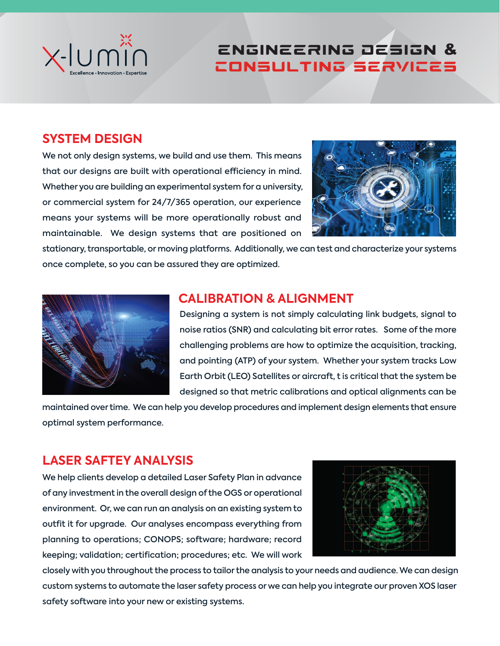

# Engineering Design & Consulting Services

### **SYSTEM DESIGN**

We not only design systems, we build and use them. This means that our designs are built with operational efficiency in mind. Whether you are building an experimental system for a university, or commercial system for 24/7/365 operation, our experience means your systems will be more operationally robust and maintainable. We design systems that are positioned on



stationary, transportable, or moving platforms. Additionally, we can test and characterize your systems once complete, so you can be assured they are optimized.



#### **CALIBRATION & ALIGNMENT**

Designing a system is not simply calculating link budgets, signal to noise ratios (SNR) and calculating bit error rates. Some of the more challenging problems are how to optimize the acquisition, tracking, and pointing (ATP) of your system. Whether your system tracks Low Earth Orbit (LEO) Satellites or aircraft, t is critical that the system be designed so that metric calibrations and optical alignments can be

maintained over time. We can help you develop procedures and implement design elements that ensure optimal system performance.

#### **LASER SAFTEY ANALYSIS**

We help clients develop a detailed Laser Safety Plan in advance of any investment in the overall design of the OGS or operational environment. Or, we can run an analysis on an existing system to outfit it for upgrade. Our analyses encompass everything from planning to operations; CONOPS; software; hardware; record keeping; validation; certification; procedures; etc. We will work



closely with you throughout the process to tailor the analysis to your needs and audience. We can design custom systems to automate the laser safety process or we can help you integrate our proven XOS laser safety software into your new or existing systems.